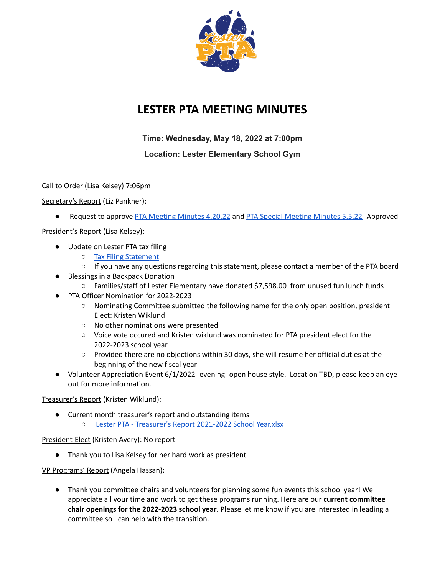

# **LESTER PTA MEETING MINUTES**

**Time: Wednesday, May 18, 2022 at 7:00pm**

# **Location: Lester Elementary School Gym**

Call to Order (Lisa Kelsey) 7:06pm

Secretary's Report (Liz Pankner):

● Request to approve PTA [Meeting](https://docs.google.com/document/d/1aqOr-DnhTPnU1mQwvdsOtMlSrKiDz6CkEmNyNUJDl9A/edit?usp=sharing) Minutes 4.20.22 and PTA Special Meeting Minutes 5.5.22- Approved

President's Report (Lisa Kelsey):

- Update on Lester PTA tax filing
	- Tax Filing [Statement](https://docs.google.com/document/d/1yvOGYaIzcf_w8eL172nsj8b_8S3ylMTkxXeWHlRxaT4/edit?usp=sharing)
	- $\circ$  If you have any questions regarding this statement, please contact a member of the PTA board
- Blessings in a Backpack Donation
	- Families/staff of Lester Elementary have donated \$7,598.00 from unused fun lunch funds
- PTA Officer Nomination for 2022-2023
	- Nominating Committee submitted the following name for the only open position, president Elect: Kristen Wiklund
	- No other nominations were presented
	- Voice vote occured and Kristen wiklund was nominated for PTA president elect for the 2022-2023 school year
	- Provided there are no objections within 30 days, she will resume her official duties at the beginning of the new fiscal year
- Volunteer Appreciation Event 6/1/2022- evening- open house style. Location TBD, please keep an eye out for more information.

# Treasurer's Report (Kristen Wiklund):

- Current month treasurer's report and outstanding items
	- Lester PTA [Treasurer's](https://mail.google.com/mail/u/0?ui=2&ik=974b5aef0e&attid=0.3&permmsgid=msg-f:1733172217635204023&th=180d76f2feb8ebb7&view=att&disp=safe&realattid=f_l3bn5llm0) Report 2021-2022 School Year.xlsx

# President-Elect (Kristen Avery): No report

● Thank you to Lisa Kelsey for her hard work as president

VP Programs' Report (Angela Hassan):

● Thank you committee chairs and volunteers for planning some fun events this school year! We appreciate all your time and work to get these programs running. Here are our **current committee chair openings for the 2022-2023 school year**. Please let me know if you are interested in leading a committee so I can help with the transition.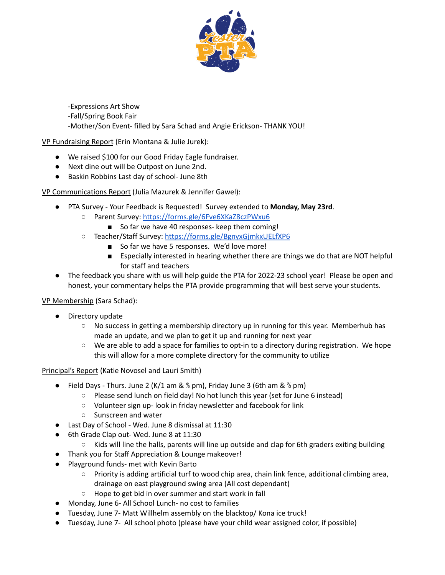

-Expressions Art Show

- -Fall/Spring Book Fair
- -Mother/Son Event- filled by Sara Schad and Angie Erickson- THANK YOU!

VP Fundraising Report (Erin Montana & Julie Jurek):

- We raised \$100 for our Good Friday Eagle fundraiser.
- Next dine out will be Outpost on June 2nd.
- Baskin Robbins Last day of school- June 8th

VP Communications Report (Julia Mazurek & Jennifer Gawel):

- PTA Survey Your Feedback is Requested! Survey extended to **Monday, May 23rd**.
	- Parent Survey: <https://forms.gle/6Fve6XKaZ8czPWxu6>
		- So far we have 40 responses- keep them coming!
	- Teacher/Staff Survey: <https://forms.gle/BgnyxGjmkxUELfXP6>
		- So far we have 5 responses. We'd love more!
		- Especially interested in hearing whether there are things we do that are NOT helpful for staff and teachers
- The feedback you share with us will help guide the PTA for 2022-23 school year! Please be open and honest, your commentary helps the PTA provide programming that will best serve your students.

VP Membership (Sara Schad):

- Directory update
	- No success in getting a membership directory up in running for this year. Memberhub has made an update, and we plan to get it up and running for next year
	- We are able to add a space for families to opt-in to a directory during registration. We hope this will allow for a more complete directory for the community to utilize

Principal's Report (Katie Novosel and Lauri Smith)

- Field Days Thurs. June 2 (K/1 am & ⅘ pm), Friday June 3 (6th am & ⅔ pm)
	- Please send lunch on field day! No hot lunch this year (set for June 6 instead)
	- Volunteer sign up- look in friday newsletter and facebook for link
	- Sunscreen and water
- Last Day of School Wed. June 8 dismissal at 11:30
- 6th Grade Clap out- Wed. June 8 at 11:30
	- Kids will line the halls, parents will line up outside and clap for 6th graders exiting building
- Thank you for Staff Appreciation & Lounge makeover!
- Playground funds- met with Kevin Barto
	- Priority is adding artificial turf to wood chip area, chain link fence, additional climbing area, drainage on east playground swing area (All cost dependant)
	- Hope to get bid in over summer and start work in fall
- Monday, June 6- All School Lunch- no cost to families
- Tuesday, June 7- Matt Willhelm assembly on the blacktop/ Kona ice truck!
- Tuesday, June 7- All school photo (please have your child wear assigned color, if possible)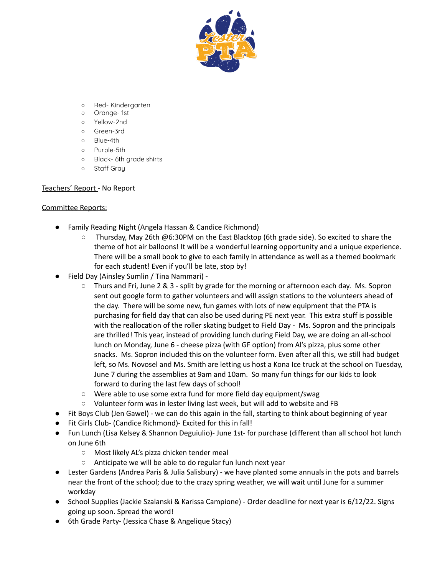

- Red- Kindergarten
- Orange- 1st
- Yellow-2nd
- Green-3rd
- Blue-4th
- Purple-5th
- Black- 6th grade shirts
- Staff Gray

#### Teachers' Report - No Report

#### Committee Reports:

- Family Reading Night (Angela Hassan & Candice Richmond)
	- Thursday, May 26th @6:30PM on the East Blacktop (6th grade side). So excited to share the theme of hot air balloons! It will be a wonderful learning opportunity and a unique experience. There will be a small book to give to each family in attendance as well as a themed bookmark for each student! Even if you'll be late, stop by!
- Field Day (Ainsley Sumlin / Tina Nammari)
	- Thurs and Fri, June 2 & 3 split by grade for the morning or afternoon each day. Ms. Sopron sent out google form to gather volunteers and will assign stations to the volunteers ahead of the day. There will be some new, fun games with lots of new equipment that the PTA is purchasing for field day that can also be used during PE next year. This extra stuff is possible with the reallocation of the roller skating budget to Field Day - Ms. Sopron and the principals are thrilled! This year, instead of providing lunch during Field Day, we are doing an all-school lunch on Monday, June 6 - cheese pizza (with GF option) from Al's pizza, plus some other snacks. Ms. Sopron included this on the volunteer form. Even after all this, we still had budget left, so Ms. Novosel and Ms. Smith are letting us host a Kona Ice truck at the school on Tuesday, June 7 during the assemblies at 9am and 10am. So many fun things for our kids to look forward to during the last few days of school!
	- Were able to use some extra fund for more field day equipment/swag
	- Volunteer form was in lester living last week, but will add to website and FB
- Fit Boys Club (Jen Gawel) we can do this again in the fall, starting to think about beginning of year
- Fit Girls Club- (Candice Richmond)- Excited for this in fall!
- Fun Lunch (Lisa Kelsey & Shannon Deguiulio)- June 1st- for purchase (different than all school hot lunch on June 6th
	- Most likely AL's pizza chicken tender meal
	- Anticipate we will be able to do regular fun lunch next year
- Lester Gardens (Andrea Paris & Julia Salisbury) we have planted some annuals in the pots and barrels near the front of the school; due to the crazy spring weather, we will wait until June for a summer workday
- School Supplies (Jackie Szalanski & Karissa Campione) Order deadline for next year is 6/12/22. Signs going up soon. Spread the word!
- 6th Grade Party- (Jessica Chase & Angelique Stacy)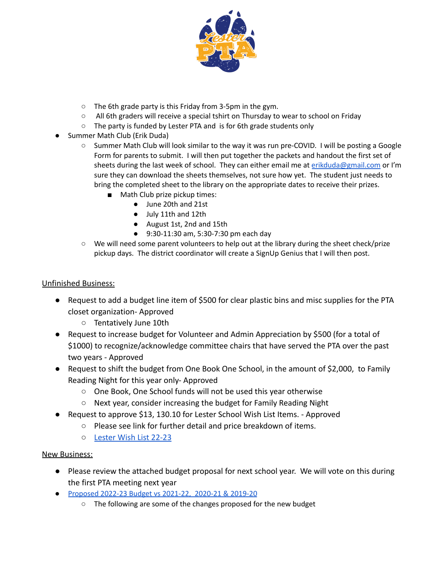

- The 6th grade party is this Friday from 3-5pm in the gym.
- All 6th graders will receive a special tshirt on Thursday to wear to school on Friday
- The party is funded by Lester PTA and is for 6th grade students only
- Summer Math Club (Erik Duda)
	- Summer Math Club will look similar to the way it was run pre-COVID. I will be posting a Google Form for parents to submit. I will then put together the packets and handout the first set of sheets during the last week of school. They can either email me at [erikduda@gmail.com](mailto:erikduda@gmail.com) or I'm sure they can download the sheets themselves, not sure how yet. The student just needs to bring the completed sheet to the library on the appropriate dates to receive their prizes.
		- Math Club prize pickup times:
			- June 20th and 21st
			- July 11th and 12th
			- August 1st, 2nd and 15th
			- 9:30-11:30 am, 5:30-7:30 pm each day
	- We will need some parent volunteers to help out at the library during the sheet check/prize pickup days. The district coordinator will create a SignUp Genius that I will then post.

# Unfinished Business:

- Request to add a budget line item of \$500 for clear plastic bins and misc supplies for the PTA closet organization- Approved
	- Tentatively June 10th
- Request to increase budget for Volunteer and Admin Appreciation by \$500 (for a total of \$1000) to recognize/acknowledge committee chairs that have served the PTA over the past two years - Approved
- Request to shift the budget from One Book One School, in the amount of \$2,000, to Family Reading Night for this year only- Approved
	- One Book, One School funds will not be used this year otherwise
	- Next year, consider increasing the budget for Family Reading Night
- Request to approve \$13, 130.10 for Lester School Wish List Items. Approved
	- Please see link for further detail and price breakdown of items.
	- [Lester Wish List 22-23](https://docs.google.com/document/d/1dKnPpDuXF2FEOmtMeiFLzsCGDc7gj5VMp4UdJZ3Ve7Y/edit?usp=sharing)

# New Business:

- Please review the attached budget proposal for next school year. We will vote on this during the first PTA meeting next year
- [Proposed](https://mail.google.com/mail/u/0?ui=2&ik=974b5aef0e&attid=0.1&permmsgid=msg-f:1733172217635204023&th=180d76f2feb8ebb7&view=att&disp=safe&realattid=f_l3bn5lmb1) 2022-23 Budget vs 2021-22, 2020-21 & 2019-20
	- The following are some of the changes proposed for the new budget